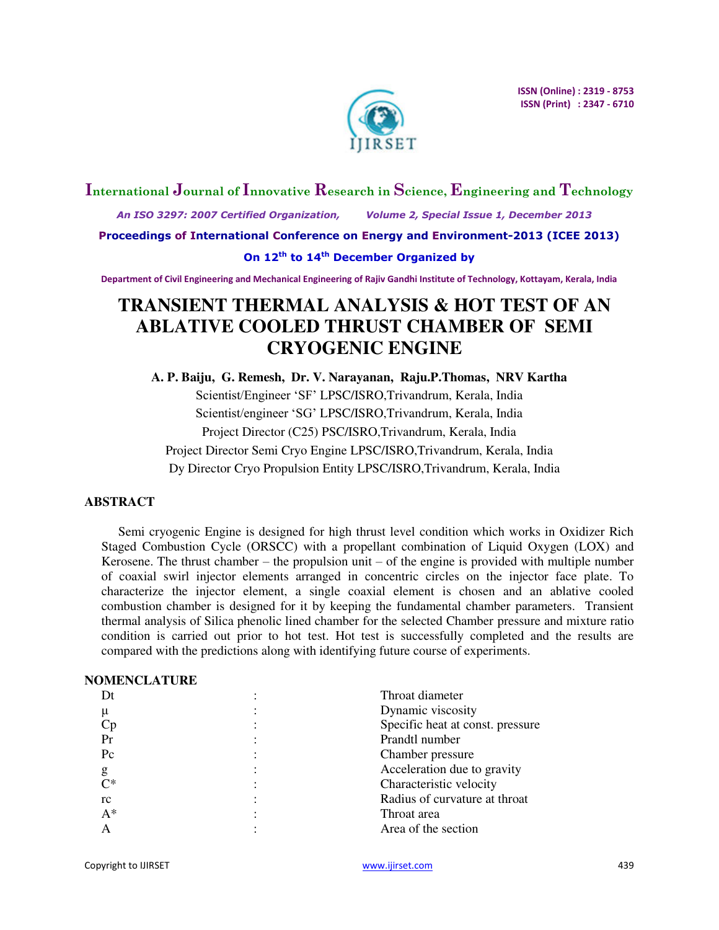

# **International Journal of Innovative Research in Science, Engineering and Technology**

 *An ISO 3297: 2007 Certified Organization, Volume 2, Special Issue 1, December 2013* 

**Proceedings of International Conference on Energy and Environment-2013 (ICEE 2013)** 

## **On 12th to 14th December Organized by**

**Department of Civil Engineering and Mechanical Engineering of Rajiv Gandhi Institute of Technology, Kottayam, Kerala, India** 

# **TRANSIENT THERMAL ANALYSIS & HOT TEST OF AN ABLATIVE COOLED THRUST CHAMBER OF SEMI CRYOGENIC ENGINE**

**A. P. Baiju, G. Remesh, Dr. V. Narayanan, Raju.P.Thomas, NRV Kartha**  Scientist/Engineer 'SF' LPSC/ISRO,Trivandrum, Kerala, India Scientist/engineer 'SG' LPSC/ISRO,Trivandrum, Kerala, India Project Director (C25) PSC/ISRO,Trivandrum, Kerala, India Project Director Semi Cryo Engine LPSC/ISRO,Trivandrum, Kerala, India Dy Director Cryo Propulsion Entity LPSC/ISRO,Trivandrum, Kerala, India

## **ABSTRACT**

Semi cryogenic Engine is designed for high thrust level condition which works in Oxidizer Rich Staged Combustion Cycle (ORSCC) with a propellant combination of Liquid Oxygen (LOX) and Kerosene. The thrust chamber – the propulsion unit – of the engine is provided with multiple number of coaxial swirl injector elements arranged in concentric circles on the injector face plate. To characterize the injector element, a single coaxial element is chosen and an ablative cooled combustion chamber is designed for it by keeping the fundamental chamber parameters. Transient thermal analysis of Silica phenolic lined chamber for the selected Chamber pressure and mixture ratio condition is carried out prior to hot test. Hot test is successfully completed and the results are compared with the predictions along with identifying future course of experiments.

## **NOMENCLATURE**

| Dt      | Throat diameter                  |
|---------|----------------------------------|
| μ       | Dynamic viscosity                |
| Cр      | Specific heat at const. pressure |
| Pr      | Prandtl number                   |
| $P_{C}$ | Chamber pressure                 |
| g       | Acceleration due to gravity      |
| $C^*$   | Characteristic velocity          |
| rc      | Radius of curvature at throat    |
| $A^*$   | Throat area                      |
|         | Area of the section              |
|         |                                  |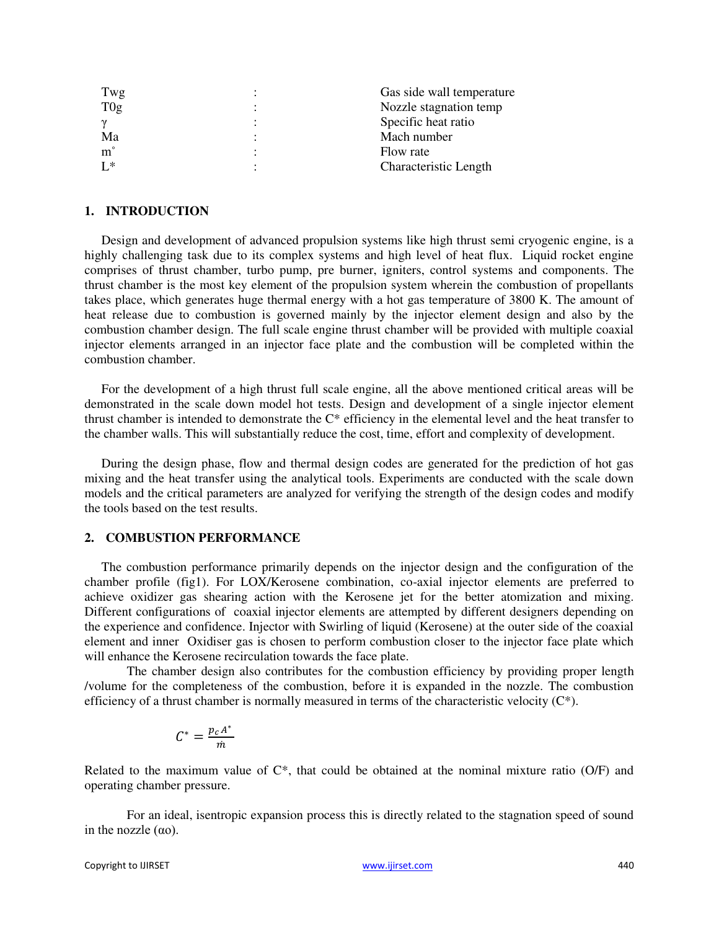| Gas side wall temperature    |
|------------------------------|
| Nozzle stagnation temp       |
| Specific heat ratio          |
| Mach number                  |
| Flow rate                    |
| <b>Characteristic Length</b> |
|                              |

#### **1. INTRODUCTION**

Design and development of advanced propulsion systems like high thrust semi cryogenic engine, is a highly challenging task due to its complex systems and high level of heat flux. Liquid rocket engine comprises of thrust chamber, turbo pump, pre burner, igniters, control systems and components. The thrust chamber is the most key element of the propulsion system wherein the combustion of propellants takes place, which generates huge thermal energy with a hot gas temperature of 3800 K. The amount of heat release due to combustion is governed mainly by the injector element design and also by the combustion chamber design. The full scale engine thrust chamber will be provided with multiple coaxial injector elements arranged in an injector face plate and the combustion will be completed within the combustion chamber.

For the development of a high thrust full scale engine, all the above mentioned critical areas will be demonstrated in the scale down model hot tests. Design and development of a single injector element thrust chamber is intended to demonstrate the C\* efficiency in the elemental level and the heat transfer to the chamber walls. This will substantially reduce the cost, time, effort and complexity of development.

During the design phase, flow and thermal design codes are generated for the prediction of hot gas mixing and the heat transfer using the analytical tools. Experiments are conducted with the scale down models and the critical parameters are analyzed for verifying the strength of the design codes and modify the tools based on the test results.

## **2. COMBUSTION PERFORMANCE**

The combustion performance primarily depends on the injector design and the configuration of the chamber profile (fig1). For LOX/Kerosene combination, co-axial injector elements are preferred to achieve oxidizer gas shearing action with the Kerosene jet for the better atomization and mixing. Different configurations of coaxial injector elements are attempted by different designers depending on the experience and confidence. Injector with Swirling of liquid (Kerosene) at the outer side of the coaxial element and inner Oxidiser gas is chosen to perform combustion closer to the injector face plate which will enhance the Kerosene recirculation towards the face plate.

The chamber design also contributes for the combustion efficiency by providing proper length /volume for the completeness of the combustion, before it is expanded in the nozzle. The combustion efficiency of a thrust chamber is normally measured in terms of the characteristic velocity  $(C^*)$ .

$$
C^* = \frac{p_c A^*}{\dot{m}}
$$

Related to the maximum value of C\*, that could be obtained at the nominal mixture ratio (O/F) and operating chamber pressure.

 For an ideal, isentropic expansion process this is directly related to the stagnation speed of sound in the nozzle  $(\alpha o)$ .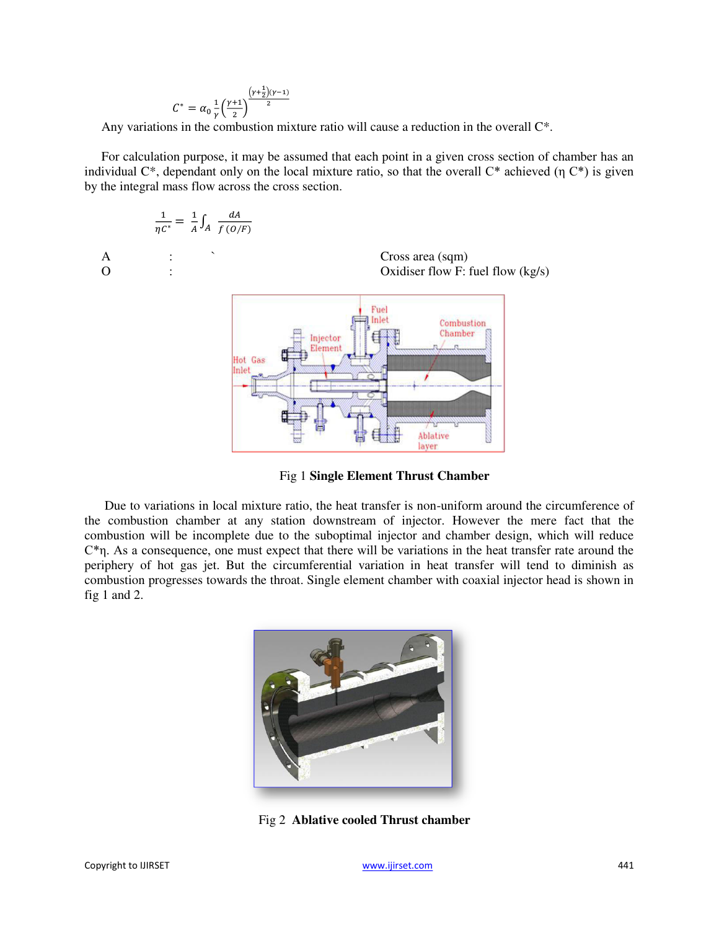$$
C^* = \alpha_0 \frac{1}{\gamma} \left(\frac{\gamma + 1}{2}\right)^{\frac{\left(\gamma + \frac{1}{2}\right)(\gamma - 1)}{2}}
$$

Any variations in the combustion mixture ratio will cause a reduction in the overall C\*.

For calculation purpose, it may be assumed that each point in a given cross section of chamber has an individual  $C^*$ , dependant only on the local mixture ratio, so that the overall  $C^*$  achieved (η  $C^*$ ) is given by the integral mass flow across the cross section.





Ablative layer

Due to variations in local mixture ratio, the heat transfer is non-uniform around the circumference of the combustion chamber at any station downstream of injector. However the mere fact that the combustion will be incomplete due to the suboptimal injector and chamber design, which will reduce  $C<sup>*</sup>n$ . As a consequence, one must expect that there will be variations in the heat transfer rate around the periphery of hot gas jet. But the circumferential variation in heat transfer will tend to diminish as combustion progresses towards the throat. Single element chamber with coaxial injector head is shown in fig 1 and 2.



Fig 2 **Ablative cooled Thrust chamber**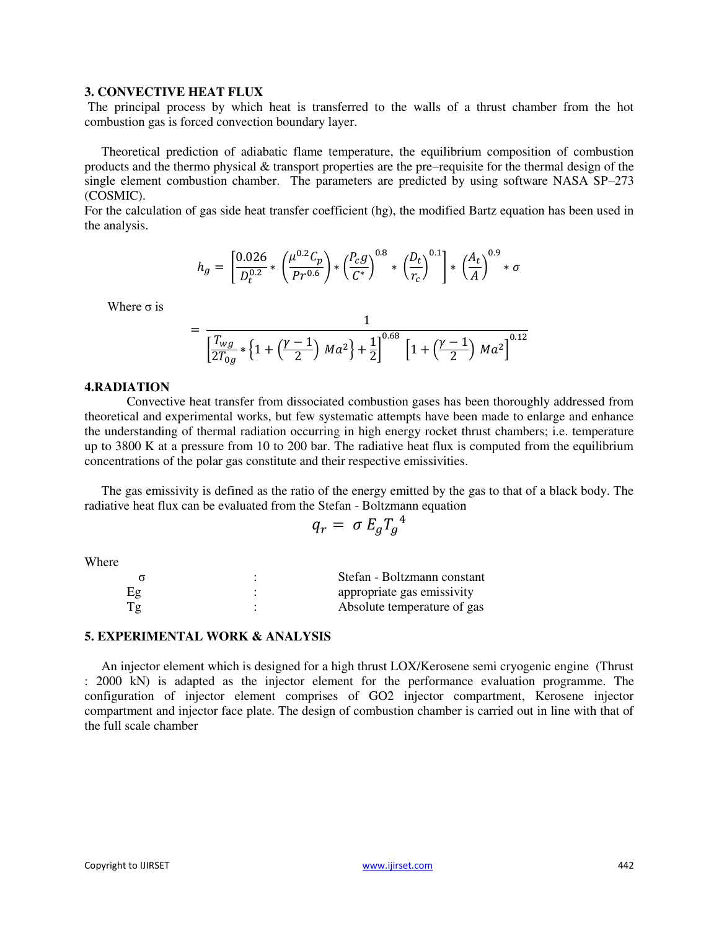## **3. CONVECTIVE HEAT FLUX**

The principal process by which heat is transferred to the walls of a thrust chamber from the hot combustion gas is forced convection boundary layer.

Theoretical prediction of adiabatic flame temperature, the equilibrium composition of combustion products and the thermo physical & transport properties are the pre–requisite for the thermal design of the single element combustion chamber. The parameters are predicted by using software NASA SP–273 (COSMIC).

For the calculation of gas side heat transfer coefficient (hg), the modified Bartz equation has been used in the analysis.

$$
h_g = \left[\frac{0.026}{D_t^{0.2}} * \left(\frac{\mu^{0.2}C_p}{Pr^{0.6}}\right) * \left(\frac{P_c g}{C^*}\right)^{0.8} * \left(\frac{D_t}{r_c}\right)^{0.1}\right] * \left(\frac{A_t}{A}\right)^{0.9} * \sigma
$$

Where  $\sigma$  is

$$
= \frac{1}{\left[\frac{T_{wg}}{2T_{0g}} * \left\{1 + \left(\frac{\gamma - 1}{2}\right) Ma^2\right\} + \frac{1}{2}\right]^{0.68} \left[1 + \left(\frac{\gamma - 1}{2}\right) Ma^2\right]^{0.12}}
$$

#### **4.RADIATION**

 Convective heat transfer from dissociated combustion gases has been thoroughly addressed from theoretical and experimental works, but few systematic attempts have been made to enlarge and enhance the understanding of thermal radiation occurring in high energy rocket thrust chambers; i.e. temperature up to 3800 K at a pressure from 10 to 200 bar. The radiative heat flux is computed from the equilibrium concentrations of the polar gas constitute and their respective emissivities.

The gas emissivity is defined as the ratio of the energy emitted by the gas to that of a black body. The radiative heat flux can be evaluated from the Stefan - Boltzmann equation

$$
q_r = \sigma E_g T_g^4
$$

**Where** 

|    | Stefan - Boltzmann constant |
|----|-----------------------------|
| Eg | appropriate gas emissivity  |
| Tg | Absolute temperature of gas |

#### **5. EXPERIMENTAL WORK & ANALYSIS**

An injector element which is designed for a high thrust LOX/Kerosene semi cryogenic engine (Thrust : 2000 kN) is adapted as the injector element for the performance evaluation programme. The configuration of injector element comprises of GO2 injector compartment, Kerosene injector compartment and injector face plate. The design of combustion chamber is carried out in line with that of the full scale chamber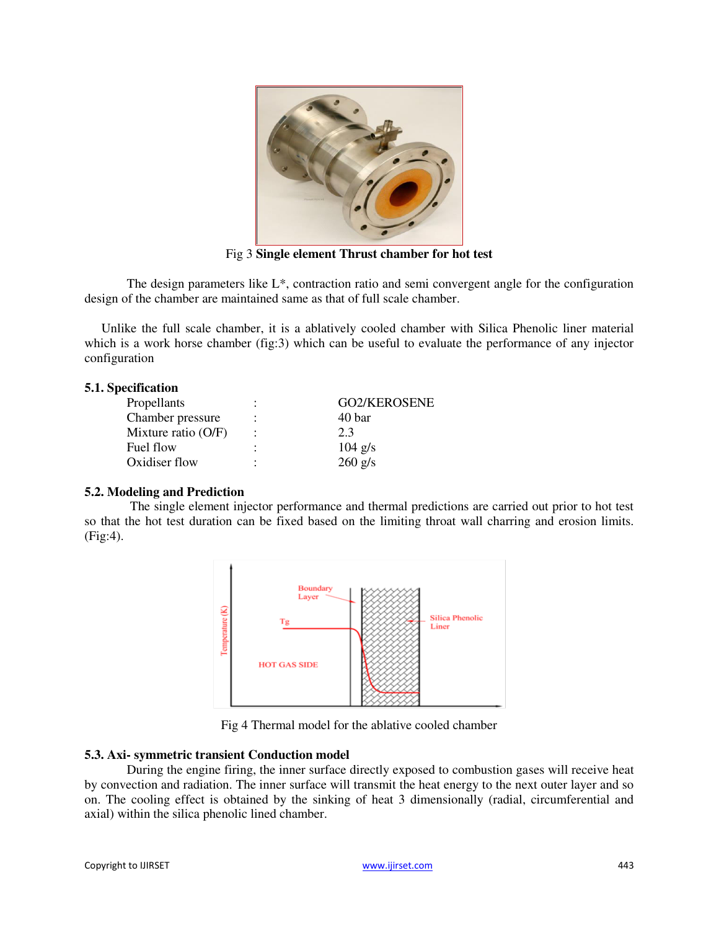

Fig 3 **Single element Thrust chamber for hot test** 

The design parameters like L\*, contraction ratio and semi convergent angle for the configuration design of the chamber are maintained same as that of full scale chamber.

Unlike the full scale chamber, it is a ablatively cooled chamber with Silica Phenolic liner material which is a work horse chamber (fig:3) which can be useful to evaluate the performance of any injector configuration

## **5.1. Specification**

| Propellants           | ٠         | GO2/KEROSENE |
|-----------------------|-----------|--------------|
| Chamber pressure      | $\bullet$ | 40 bar       |
| Mixture ratio $(O/F)$ |           | 2.3          |
| Fuel flow             | ٠         | $104$ g/s    |
| Oxidiser flow         | ٠         | $260$ g/s    |

## **5.2. Modeling and Prediction**

 The single element injector performance and thermal predictions are carried out prior to hot test so that the hot test duration can be fixed based on the limiting throat wall charring and erosion limits. (Fig:4).



Fig 4 Thermal model for the ablative cooled chamber

## **5.3. Axi- symmetric transient Conduction model**

During the engine firing, the inner surface directly exposed to combustion gases will receive heat by convection and radiation. The inner surface will transmit the heat energy to the next outer layer and so on. The cooling effect is obtained by the sinking of heat 3 dimensionally (radial, circumferential and axial) within the silica phenolic lined chamber.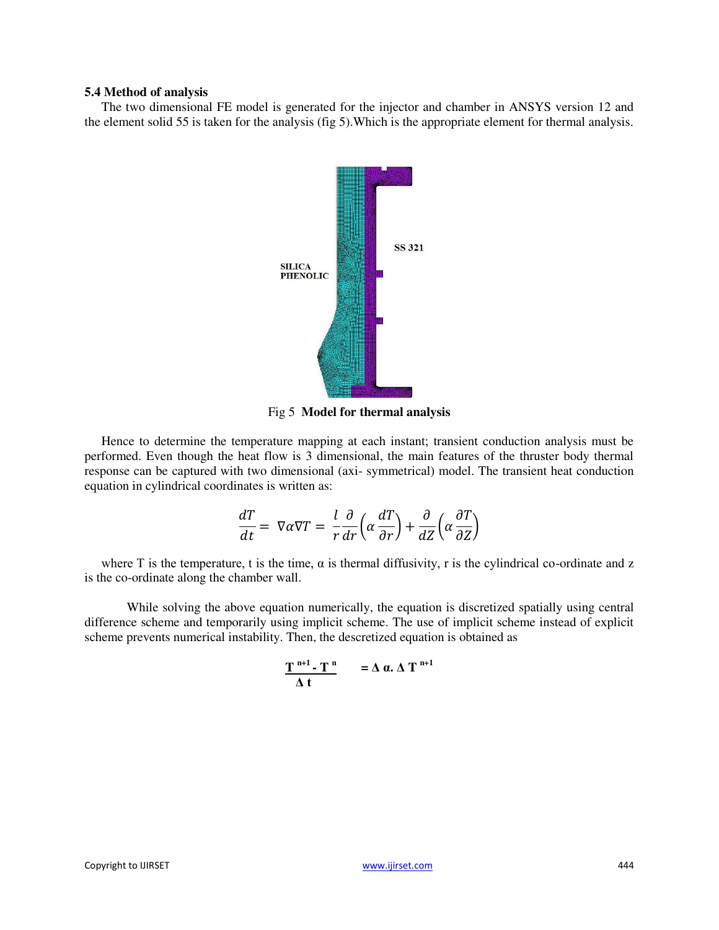#### **5.4 Method of analysis**

The two dimensional FE model is generated for the injector and chamber in ANSYS version 12 and the element solid 55 is taken for the analysis (fig 5).Which is the appropriate element for thermal analysis.



Fig 5 **Model for thermal analysis** 

Hence to determine the temperature mapping at each instant; transient conduction analysis must be performed. Even though the heat flow is 3 dimensional, the main features of the thruster body thermal response can be captured with two dimensional (axi- symmetrical) model. The transient heat conduction equation in cylindrical coordinates is written as:

$$
\frac{dT}{dt} = \nabla \alpha \nabla T = \frac{l}{r} \frac{\partial}{dr} \left( \alpha \frac{dT}{\partial r} \right) + \frac{\partial}{dZ} \left( \alpha \frac{\partial T}{\partial Z} \right)
$$

where T is the temperature, t is the time,  $\alpha$  is thermal diffusivity, r is the cylindrical co-ordinate and z is the co-ordinate along the chamber wall.

While solving the above equation numerically, the equation is discretized spatially using central difference scheme and temporarily using implicit scheme. The use of implicit scheme instead of explicit scheme prevents numerical instability. Then, the descretized equation is obtained as

$$
\frac{T^{n+1} \cdot T^n}{\Delta t} = \Delta \alpha. \Delta T^{n+1}
$$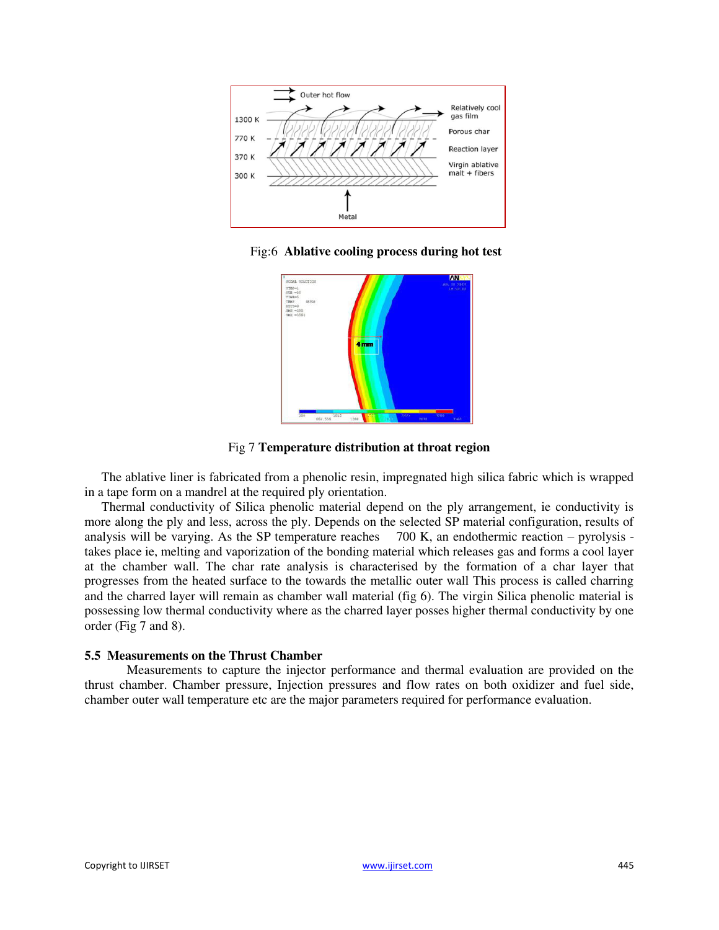

Fig:6 **Ablative cooling process during hot test** 



Fig 7 **Temperature distribution at throat region** 

The ablative liner is fabricated from a phenolic resin, impregnated high silica fabric which is wrapped in a tape form on a mandrel at the required ply orientation.

Thermal conductivity of Silica phenolic material depend on the ply arrangement, ie conductivity is more along the ply and less, across the ply. Depends on the selected SP material configuration, results of analysis will be varying. As the SP temperature reaches 700 K, an endothermic reaction – pyrolysis takes place ie, melting and vaporization of the bonding material which releases gas and forms a cool layer at the chamber wall. The char rate analysis is characterised by the formation of a char layer that progresses from the heated surface to the towards the metallic outer wall This process is called charring and the charred layer will remain as chamber wall material (fig 6). The virgin Silica phenolic material is possessing low thermal conductivity where as the charred layer posses higher thermal conductivity by one order (Fig 7 and 8).

## **5.5 Measurements on the Thrust Chamber**

 Measurements to capture the injector performance and thermal evaluation are provided on the thrust chamber. Chamber pressure, Injection pressures and flow rates on both oxidizer and fuel side, chamber outer wall temperature etc are the major parameters required for performance evaluation.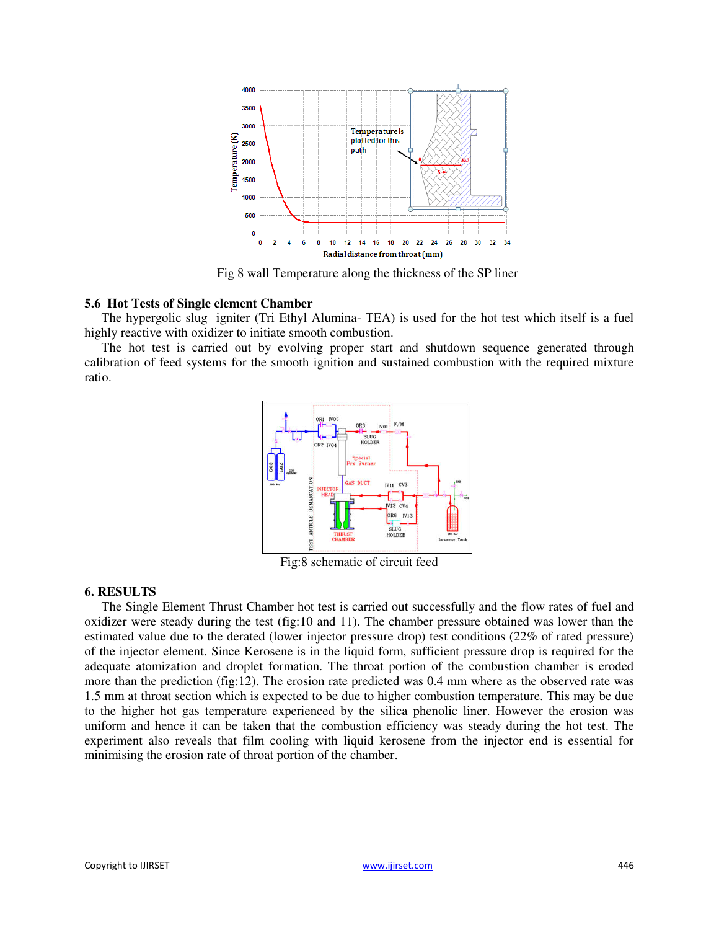

Fig 8 wall Temperature along the thickness of the SP liner

## **5.6 Hot Tests of Single element Chamber**

The hypergolic slug igniter (Tri Ethyl Alumina- TEA) is used for the hot test which itself is a fuel highly reactive with oxidizer to initiate smooth combustion.

The hot test is carried out by evolving proper start and shutdown sequence generated through calibration of feed systems for the smooth ignition and sustained combustion with the required mixture ratio.



Fig:8 schematic of circuit feed

## **6. RESULTS**

The Single Element Thrust Chamber hot test is carried out successfully and the flow rates of fuel and oxidizer were steady during the test (fig:10 and 11). The chamber pressure obtained was lower than the estimated value due to the derated (lower injector pressure drop) test conditions (22% of rated pressure) of the injector element. Since Kerosene is in the liquid form, sufficient pressure drop is required for the adequate atomization and droplet formation. The throat portion of the combustion chamber is eroded more than the prediction (fig:12). The erosion rate predicted was 0.4 mm where as the observed rate was 1.5 mm at throat section which is expected to be due to higher combustion temperature. This may be due to the higher hot gas temperature experienced by the silica phenolic liner. However the erosion was uniform and hence it can be taken that the combustion efficiency was steady during the hot test. The experiment also reveals that film cooling with liquid kerosene from the injector end is essential for minimising the erosion rate of throat portion of the chamber.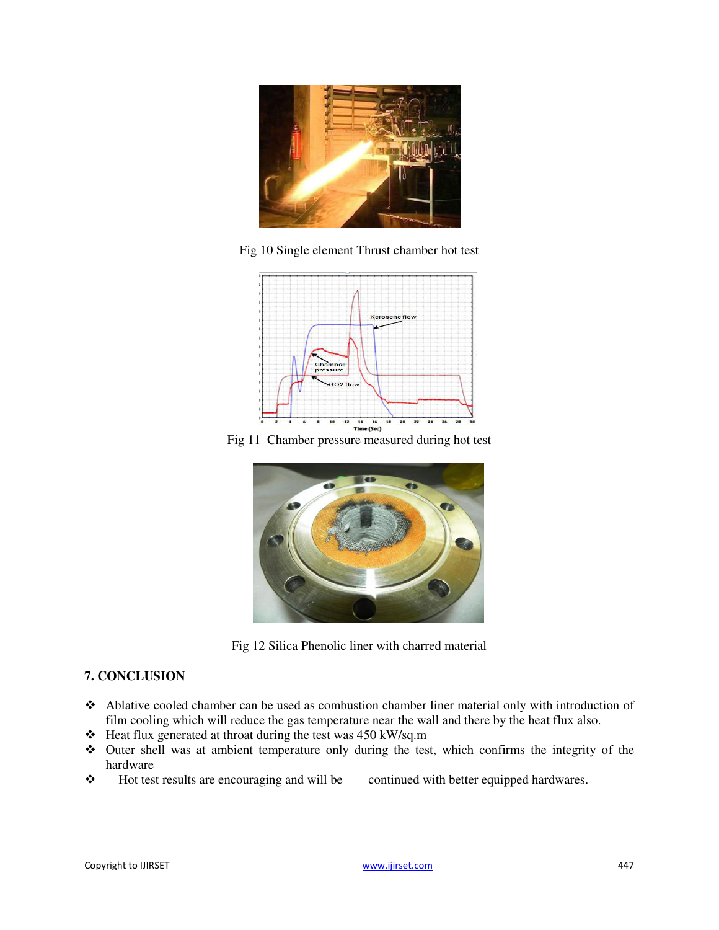

Fig 10 Single element Thrust chamber hot test



Fig 11 Chamber pressure measured during hot test



Fig 12 Silica Phenolic liner with charred material

## **7. CONCLUSION**

- Ablative cooled chamber can be used as combustion chamber liner material only with introduction of film cooling which will reduce the gas temperature near the wall and there by the heat flux also.
- $\div$  Heat flux generated at throat during the test was 450 kW/sq.m
- Outer shell was at ambient temperature only during the test, which confirms the integrity of the hardware
- \* Hot test results are encouraging and will be continued with better equipped hardwares.